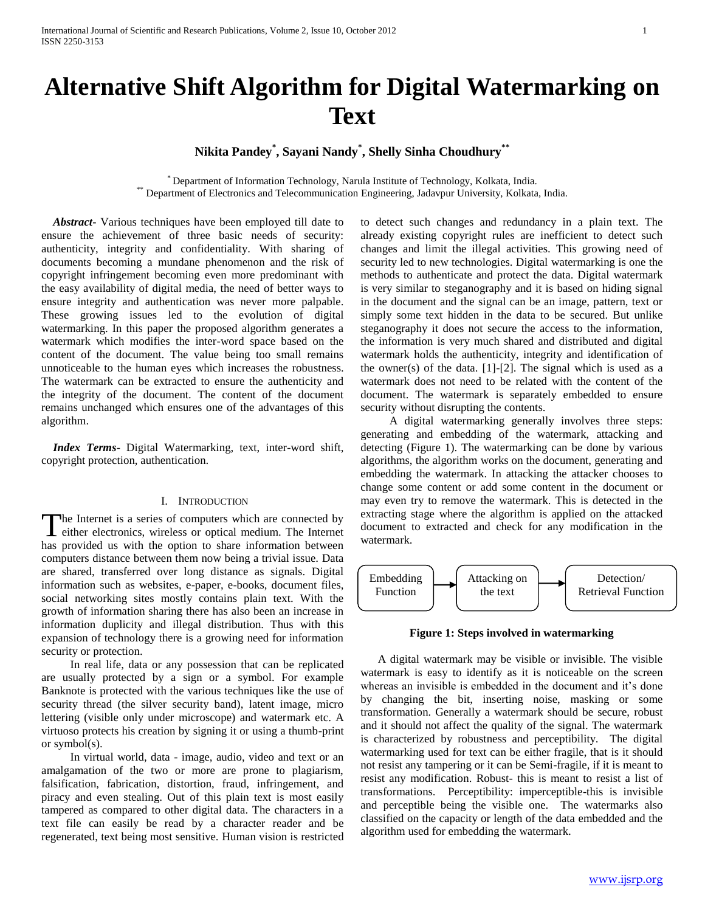# **Alternative Shift Algorithm for Digital Watermarking on Text**

**Nikita Pandey\* , Sayani Nandy\* , Shelly Sinha Choudhury\*\***

\* Department of Information Technology, Narula Institute of Technology, Kolkata, India. \*\* Department of Electronics and Telecommunication Engineering, Jadavpur University, Kolkata, India.

 *Abstract***-** Various techniques have been employed till date to ensure the achievement of three basic needs of security: authenticity, integrity and confidentiality. With sharing of documents becoming a mundane phenomenon and the risk of copyright infringement becoming even more predominant with the easy availability of digital media, the need of better ways to ensure integrity and authentication was never more palpable. These growing issues led to the evolution of digital watermarking. In this paper the proposed algorithm generates a watermark which modifies the inter-word space based on the content of the document. The value being too small remains unnoticeable to the human eyes which increases the robustness. The watermark can be extracted to ensure the authenticity and the integrity of the document. The content of the document remains unchanged which ensures one of the advantages of this algorithm.

 *Index Terms*- Digital Watermarking, text, inter-word shift, copyright protection, authentication.

### I. INTRODUCTION

he Internet is a series of computers which are connected by The Internet is a series of computers which are connected by either electronics, wireless or optical medium. The Internet has provided us with the option to share information between computers distance between them now being a trivial issue. Data are shared, transferred over long distance as signals. Digital information such as websites, e-paper, e-books, document files, social networking sites mostly contains plain text. With the growth of information sharing there has also been an increase in information duplicity and illegal distribution. Thus with this expansion of technology there is a growing need for information security or protection.

 In real life, data or any possession that can be replicated are usually protected by a sign or a symbol. For example Banknote is protected with the various techniques like the use of security thread (the silver security band), latent image, micro lettering (visible only under microscope) and watermark etc. A virtuoso protects his creation by signing it or using a thumb-print or symbol(s).

 In virtual world, data - image, audio, video and text or an amalgamation of the two or more are prone to plagiarism, falsification, fabrication, distortion, fraud, infringement, and piracy and even stealing. Out of this plain text is most easily tampered as compared to other digital data. The characters in a text file can easily be read by a character reader and be regenerated, text being most sensitive. Human vision is restricted to detect such changes and redundancy in a plain text. The already existing copyright rules are inefficient to detect such changes and limit the illegal activities. This growing need of security led to new technologies. Digital watermarking is one the methods to authenticate and protect the data. Digital watermark is very similar to steganography and it is based on hiding signal in the document and the signal can be an image, pattern, text or simply some text hidden in the data to be secured. But unlike steganography it does not secure the access to the information, the information is very much shared and distributed and digital watermark holds the authenticity, integrity and identification of the owner(s) of the data.  $[1]-[2]$ . The signal which is used as a watermark does not need to be related with the content of the document. The watermark is separately embedded to ensure security without disrupting the contents.

 A digital watermarking generally involves three steps: generating and embedding of the watermark, attacking and detecting (Figure 1). The watermarking can be done by various algorithms, the algorithm works on the document, generating and embedding the watermark. In attacking the attacker chooses to change some content or add some content in the document or may even try to remove the watermark. This is detected in the extracting stage where the algorithm is applied on the attacked document to extracted and check for any modification in the watermark.



**Figure 1: Steps involved in watermarking**

 A digital watermark may be visible or invisible. The visible watermark is easy to identify as it is noticeable on the screen whereas an invisible is embedded in the document and it's done by changing the bit, inserting noise, masking or some transformation. Generally a watermark should be secure, robust and it should not affect the quality of the signal. The watermark is characterized by robustness and perceptibility. The digital watermarking used for text can be either fragile, that is it should not resist any tampering or it can be Semi-fragile, if it is meant to resist any modification. Robust- this is meant to resist a list of transformations. Perceptibility: imperceptible-this is invisible and perceptible being the visible one. The watermarks also classified on the capacity or length of the data embedded and the algorithm used for embedding the watermark.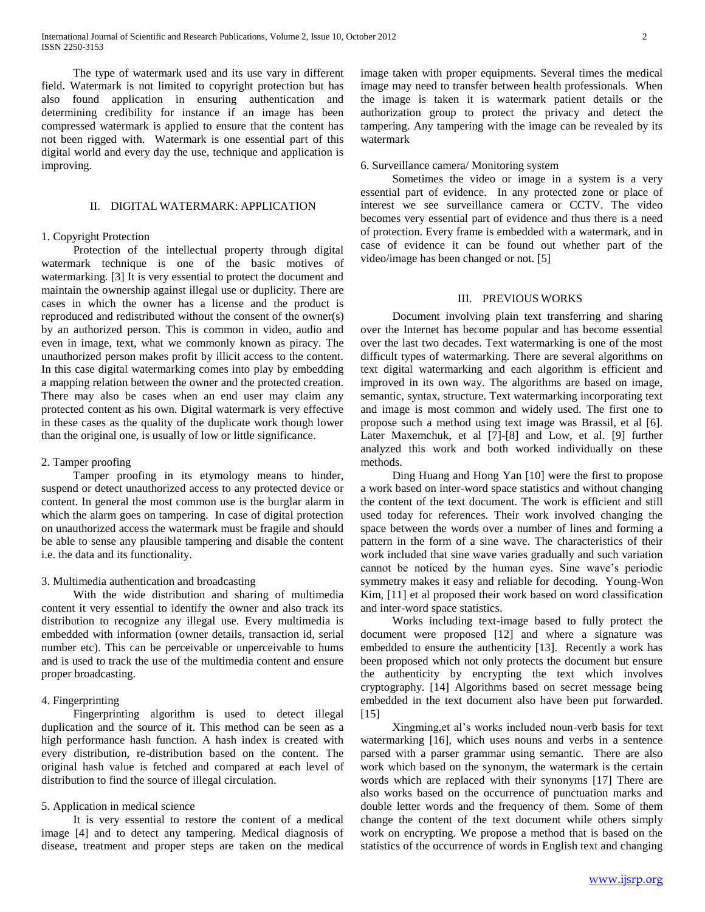The type of watermark used and its use vary in different field. Watermark is not limited to copyright protection but has also found application in ensuring authentication and determining credibility for instance if an image has been compressed watermark is applied to ensure that the content has not been rigged with. Watermark is one essential part of this digital world and every day the use, technique and application is improving.

#### II. DIGITAL WATERMARK: APPLICATION

# 1. Copyright Protection

 Protection of the intellectual property through digital watermark technique is one of the basic motives of watermarking. [3] It is very essential to protect the document and maintain the ownership against illegal use or duplicity. There are cases in which the owner has a license and the product is reproduced and redistributed without the consent of the owner(s) by an authorized person. This is common in video, audio and even in image, text, what we commonly known as piracy. The unauthorized person makes profit by illicit access to the content. In this case digital watermarking comes into play by embedding a mapping relation between the owner and the protected creation. There may also be cases when an end user may claim any protected content as his own. Digital watermark is very effective in these cases as the quality of the duplicate work though lower than the original one, is usually of low or little significance.

## 2. Tamper proofing

 Tamper proofing in its etymology means to hinder, suspend or detect unauthorized access to any protected device or content. In general the most common use is the burglar alarm in which the alarm goes on tampering. In case of digital protection on unauthorized access the watermark must be fragile and should be able to sense any plausible tampering and disable the content i.e. the data and its functionality.

# 3. Multimedia authentication and broadcasting

 With the wide distribution and sharing of multimedia content it very essential to identify the owner and also track its distribution to recognize any illegal use. Every multimedia is embedded with information (owner details, transaction id, serial number etc). This can be perceivable or unperceivable to hums and is used to track the use of the multimedia content and ensure proper broadcasting.

#### 4. Fingerprinting

 Fingerprinting algorithm is used to detect illegal duplication and the source of it. This method can be seen as a high performance hash function. A hash index is created with every distribution, re-distribution based on the content. The original hash value is fetched and compared at each level of distribution to find the source of illegal circulation.

# 5. Application in medical science

 It is very essential to restore the content of a medical image [4] and to detect any tampering. Medical diagnosis of disease, treatment and proper steps are taken on the medical image taken with proper equipments. Several times the medical image may need to transfer between health professionals. When the image is taken it is watermark patient details or the authorization group to protect the privacy and detect the tampering. Any tampering with the image can be revealed by its watermark

# 6. Surveillance camera/ Monitoring system

 Sometimes the video or image in a system is a very essential part of evidence. In any protected zone or place of interest we see surveillance camera or CCTV. The video becomes very essential part of evidence and thus there is a need of protection. Every frame is embedded with a watermark, and in case of evidence it can be found out whether part of the video/image has been changed or not. [5]

# III. PREVIOUS WORKS

 Document involving plain text transferring and sharing over the Internet has become popular and has become essential over the last two decades. Text watermarking is one of the most difficult types of watermarking. There are several algorithms on text digital watermarking and each algorithm is efficient and improved in its own way. The algorithms are based on image, semantic, syntax, structure. Text watermarking incorporating text and image is most common and widely used. The first one to propose such a method using text image was Brassil, et al [6]. Later Maxemchuk, et al [7]-[8] and Low, et al. [9] further analyzed this work and both worked individually on these methods.

 Ding Huang and Hong Yan [10] were the first to propose a work based on inter-word space statistics and without changing the content of the text document. The work is efficient and still used today for references. Their work involved changing the space between the words over a number of lines and forming a pattern in the form of a sine wave. The characteristics of their work included that sine wave varies gradually and such variation cannot be noticed by the human eyes. Sine wave's periodic symmetry makes it easy and reliable for decoding. Young-Won Kim, [11] et al proposed their work based on word classification and inter-word space statistics.

 Works including text-image based to fully protect the document were proposed [12] and where a signature was embedded to ensure the authenticity [13]. Recently a work has been proposed which not only protects the document but ensure the authenticity by encrypting the text which involves cryptography. [14] Algorithms based on secret message being embedded in the text document also have been put forwarded. [15]

 Xingming,et al's works included noun-verb basis for text watermarking [16], which uses nouns and verbs in a sentence parsed with a parser grammar using semantic. There are also work which based on the synonym, the watermark is the certain words which are replaced with their synonyms [17] There are also works based on the occurrence of punctuation marks and double letter words and the frequency of them. Some of them change the content of the text document while others simply work on encrypting. We propose a method that is based on the statistics of the occurrence of words in English text and changing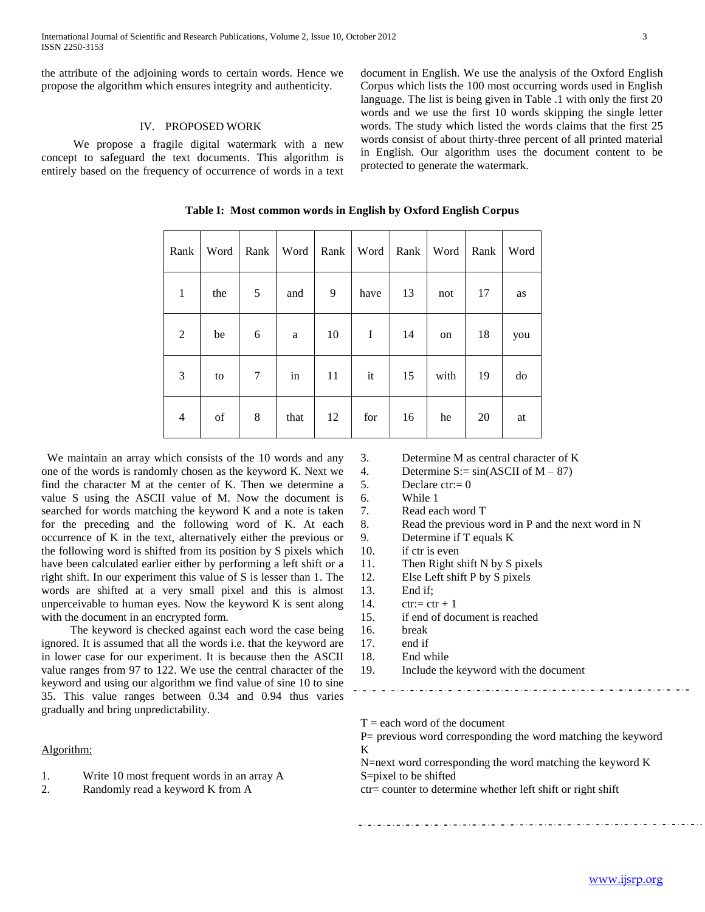the attribute of the adjoining words to certain words. Hence we propose the algorithm which ensures integrity and authenticity.

# IV. PROPOSED WORK

 We propose a fragile digital watermark with a new concept to safeguard the text documents. This algorithm is entirely based on the frequency of occurrence of words in a text document in English. We use the analysis of the Oxford English Corpus which lists the 100 most occurring words used in English language. The list is being given in Table .1 with only the first 20 words and we use the first 10 words skipping the single letter words. The study which listed the words claims that the first 25 words consist of about thirty-three percent of all printed material in English. Our algorithm uses the document content to be protected to generate the watermark.

| Rank           | Word | Rank           | Word | Rank | Word | Rank | Word | Rank | Word |
|----------------|------|----------------|------|------|------|------|------|------|------|
| $\mathbf{1}$   | the  | 5              | and  | 9    | have | 13   | not  | 17   | as   |
| $\overline{2}$ | be   | 6              | a    | 10   | I    | 14   | on   | 18   | you  |
| 3              | to   | $\overline{7}$ | in   | 11   | it   | 15   | with | 19   | do   |
| $\overline{4}$ | of   | 8              | that | 12   | for  | 16   | he   | 20   | at   |

**Table I: Most common words in English by Oxford English Corpus**

 We maintain an array which consists of the 10 words and any one of the words is randomly chosen as the keyword K. Next we find the character M at the center of K. Then we determine a value S using the ASCII value of M. Now the document is searched for words matching the keyword K and a note is taken for the preceding and the following word of K. At each occurrence of K in the text, alternatively either the previous or the following word is shifted from its position by S pixels which have been calculated earlier either by performing a left shift or a right shift. In our experiment this value of S is lesser than 1. The words are shifted at a very small pixel and this is almost unperceivable to human eyes. Now the keyword K is sent along with the document in an encrypted form.

 The keyword is checked against each word the case being ignored. It is assumed that all the words i.e. that the keyword are in lower case for our experiment. It is because then the ASCII value ranges from 97 to 122. We use the central character of the keyword and using our algorithm we find value of sine 10 to sine 35. This value ranges between 0.34 and 0.94 thus varies gradually and bring unpredictability.

Algorithm:

- 1. Write 10 most frequent words in an array A
- 2. Randomly read a keyword K from A
- 3. Determine M as central character of K
- 4. Determine  $S := \sin(ASCII \text{ of } M 87)$
- 5. Declare  $ctr:= 0$
- 6. While 1
- 7. Read each word T
- 8. Read the previous word in P and the next word in N
- 9. Determine if T equals K
- 10. if ctr is even
- 11. Then Right shift N by S pixels
- 12. Else Left shift P by S pixels
- 13. End if;
- 14. ctr:=  $ctr + 1$
- 15. if end of document is reached
- 16. break
- 17. end if
- 18. End while
- 19. Include the keyword with the document
	-

 $T =$  each word of the document

P= previous word corresponding the word matching the keyword K

N=next word corresponding the word matching the keyword K S=pixel to be shifted

ctr= counter to determine whether left shift or right shift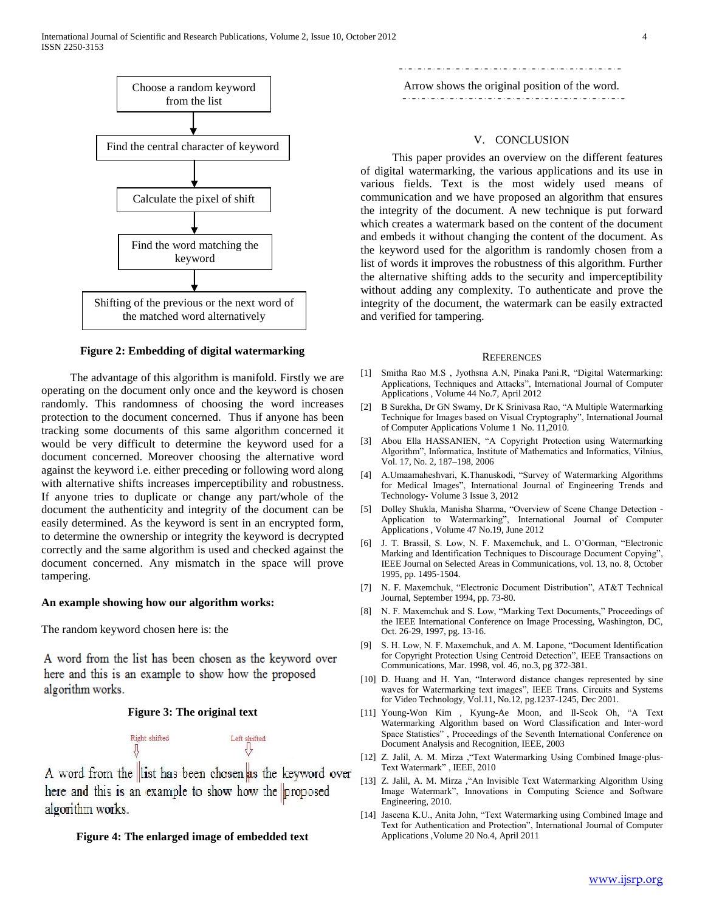

#### **Figure 2: Embedding of digital watermarking**

 The advantage of this algorithm is manifold. Firstly we are operating on the document only once and the keyword is chosen randomly. This randomness of choosing the word increases protection to the document concerned. Thus if anyone has been tracking some documents of this same algorithm concerned it would be very difficult to determine the keyword used for a document concerned. Moreover choosing the alternative word against the keyword i.e. either preceding or following word along with alternative shifts increases imperceptibility and robustness. If anyone tries to duplicate or change any part/whole of the document the authenticity and integrity of the document can be easily determined. As the keyword is sent in an encrypted form, to determine the ownership or integrity the keyword is decrypted correctly and the same algorithm is used and checked against the document concerned. Any mismatch in the space will prove tampering.

#### **An example showing how our algorithm works:**

The random keyword chosen here is: the

A word from the list has been chosen as the keyword over here and this is an example to show how the proposed algorithm works.

#### **Figure 3: The original text**



A word from the list has been chosen as the keyword over here and this is an example to show how the proposed algorithm works.

# **Figure 4: The enlarged image of embedded text**

Arrow shows the original position of the word. 

#### V. CONCLUSION

 This paper provides an overview on the different features of digital watermarking, the various applications and its use in various fields. Text is the most widely used means of communication and we have proposed an algorithm that ensures the integrity of the document. A new technique is put forward which creates a watermark based on the content of the document and embeds it without changing the content of the document. As the keyword used for the algorithm is randomly chosen from a list of words it improves the robustness of this algorithm. Further the alternative shifting adds to the security and imperceptibility without adding any complexity. To authenticate and prove the integrity of the document, the watermark can be easily extracted and verified for tampering.

#### **REFERENCES**

- [1] Smitha Rao M.S , Jyothsna A.N, Pinaka Pani.R, "Digital Watermarking: Applications, Techniques and Attacks", International Journal of Computer Applications , Volume 44 No.7, April 2012
- [2] B Surekha, Dr GN Swamy, Dr K Srinivasa Rao, "A Multiple Watermarking Technique for Images based on Visual Cryptography", International Journal of Computer Applications Volume 1 No. 11,2010.
- [3] Abou Ella HASSANIEN, "A Copyright Protection using Watermarking Algorithm", Informatica, Institute of Mathematics and Informatics, Vilnius, Vol. 17, No. 2, 187–198, 2006
- [4] A.Umaamaheshvari, K.Thanuskodi, "Survey of Watermarking Algorithms for Medical Images", International Journal of Engineering Trends and Technology- Volume 3 Issue 3, 2012
- [5] Dolley Shukla, Manisha Sharma, "Overview of Scene Change Detection Application to Watermarking", International Journal of Computer Applications , Volume 47 No.19, June 2012
- [6] J. T. Brassil, S. Low, N. F. Maxemchuk, and L. O'Gorman, "Electronic Marking and Identification Techniques to Discourage Document Copying", IEEE Journal on Selected Areas in Communications, vol. 13, no. 8, October 1995, pp. 1495-1504.
- [7] N. F. Maxemchuk, "Electronic Document Distribution", AT&T Technical Journal, September 1994, pp. 73-80.
- [8] N. F. Maxemchuk and S. Low, "Marking Text Documents," Proceedings of the IEEE International Conference on Image Processing, Washington, DC, Oct. 26-29, 1997, pg. 13-16.
- [9] S. H. Low, N. F. Maxemchuk, and A. M. Lapone, "Document Identification for Copyright Protection Using Centroid Detection", IEEE Transactions on Communications, Mar. 1998, vol. 46, no.3, pg 372-381.
- [10] D. Huang and H. Yan, "Interword distance changes represented by sine waves for Watermarking text images", IEEE Trans. Circuits and Systems for Video Technology, Vol.11, No.12, pg.1237-1245, Dec 2001.
- [11] Young-Won Kim , Kyung-Ae Moon, and Il-Seok Oh, "A Text Watermarking Algorithm based on Word Classification and Inter-word Space Statistics" , Proceedings of the Seventh International Conference on Document Analysis and Recognition, IEEE, 2003
- [12] Z. Jalil, A. M. Mirza , "Text Watermarking Using Combined Image-plus-Text Watermark" , IEEE, 2010
- [13] Z. Jalil, A. M. Mirza , "An Invisible Text Watermarking Algorithm Using Image Watermark", Innovations in Computing Science and Software Engineering, 2010.
- [14] Jaseena K.U., Anita John, "Text Watermarking using Combined Image and Text for Authentication and Protection", International Journal of Computer Applications ,Volume 20 No.4, April 2011